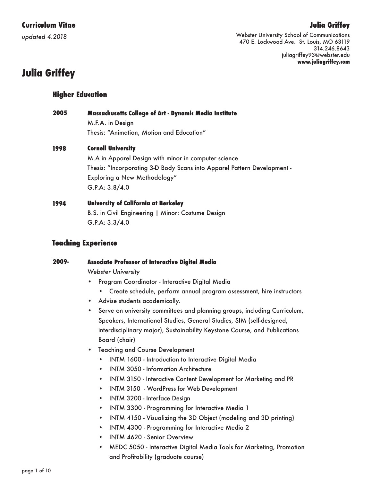*updated 4.2018*

# **Julia Griffey**

Webster University School of Communications 470 E. Lockwood Ave. St. Louis, MO 63119 314.246.8643 juliagriffey93@webster.edu **www.juliagriffey.com**

# **Julia Griffey**

## **Higher Education**

| 2005 | <b>Massachusetts College of Art - Dynamic Media Institute</b> |
|------|---------------------------------------------------------------|
|      | M.F.A. in Design                                              |
|      | Thesis: "Animation, Motion and Education"                     |
| 100A | Associal Hollowells                                           |

#### **Cornell University 1998**

M.A in Apparel Design with minor in computer science Thesis: "Incorporating 3-D Body Scans into Apparel Pattern Development - Exploring a New Methodology" G.P.A: 3.8/4.0

#### **University of California at Berkeley 1994**

B.S. in Civil Engineering | Minor: Costume Design G.P.A: 3.3/4.0

### **Teaching Experience**

#### **Associate Professor of Interactive Digital Media 2009-**

*Webster University*

- Program Coordinator Interactive Digital Media
	- Create schedule, perform annual program assessment, hire instructors
- Advise students academically.
- Serve on university committees and planning groups, including Curriculum, Speakers, International Studies, General Studies, SIM (self-designed, interdisciplinary major), Sustainability Keystone Course, and Publications Board (chair)
- Teaching and Course Development
	- INTM 1600 Introduction to Interactive Digital Media
	- INTM 3050 Information Architecture
	- INTM 3150 Interactive Content Development for Marketing and PR
	- INTM 3150 WordPress for Web Development
	- INTM 3200 Interface Design
	- INTM 3300 Programming for Interactive Media 1
	- INTM 4150 Visualizing the 3D Object (modeling and 3D printing)
	- INTM 4300 Programming for Interactive Media 2
	- INTM 4620 Senior Overview
	- MEDC 5050 Interactive Digital Media Tools for Marketing, Promotion and Profitability (graduate course)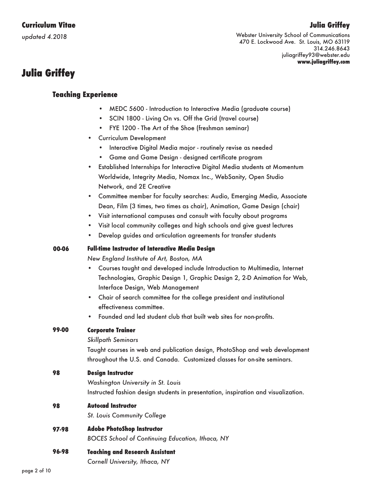*updated 4.2018*

## **Julia Griffey**

Webster University School of Communications 470 E. Lockwood Ave. St. Louis, MO 63119 314.246.8643 juliagriffey93@webster.edu **www.juliagriffey.com**

# **Julia Griffey**

#### **Teaching Experience**

- MEDC 5600 Introduction to Interactive Media (graduate course)
- SCIN 1800 Living On vs. Off the Grid (travel course)
- FYE 1200 The Art of the Shoe (freshman seminar)
- Curriculum Development
	- Interactive Digital Media major routinely revise as needed
	- Game and Game Design designed certificate program
- Established Internships for Interactive Digital Media students at Momentum Worldwide, Integrity Media, Nomax Inc., WebSanity, Open Studio Network, and 2E Creative
- Committee member for faculty searches: Audio, Emerging Media, Associate Dean, Film (3 times, two times as chair), Animation, Game Design (chair)
- Visit international campuses and consult with faculty about programs
- Visit local community colleges and high schools and give guest lectures
- Develop guides and articulation agreements for transfer students

#### **00-06 Full-time Instructor of Interactive Media Design**

*New England Institute of Art, Boston, MA*

- Courses taught and developed include Introduction to Multimedia, Internet Technologies, Graphic Design 1, Graphic Design 2, 2-D Animation for Web, Interface Design, Web Management
- Chair of search committee for the college president and institutional effectiveness committee.
- Founded and led student club that built web sites for non-profits.

#### **99-00 Corporate Trainer**

*Skillpath Seminars*

Taught courses in web and publication design, PhotoShop and web development throughout the U.S. and Canada. Customized classes for on-site seminars.

#### **98 Design Instructor**

*Washington University in St. Louis* Instructed fashion design students in presentation, inspiration and visualization.

#### **98 Autocad Instructor**

*St. Louis Community College*

#### **97-98 Adobe PhotoShop Instructor**

*BOCES School of Continuing Education, Ithaca, NY*

**96-98 Teaching and Research Assistant**

*Cornell University, Ithaca, NY*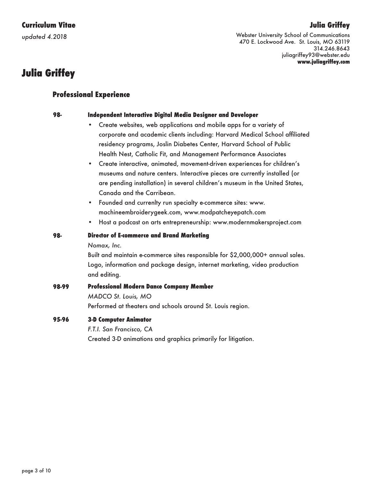*updated 4.2018*

# **Julia Griffey**

Webster University School of Communications 470 E. Lockwood Ave. St. Louis, MO 63119 314.246.8643 juliagriffey93@webster.edu **www.juliagriffey.com**

# **Julia Griffey**

**98-**

## **Professional Experience**

#### **Independent Interactive Digital Media Designer and Developer**

- Create websites, web applications and mobile apps for a variety of corporate and academic clients including: Harvard Medical School affiliated residency programs, Joslin Diabetes Center, Harvard School of Public Health Nest, Catholic Fit, and Management Performance Associates
- Create interactive, animated, movement-driven experiences for children's museums and nature centers. Interactive pieces are currently installed (or are pending installation) in several children's museum in the United States, Canada and the Carribean.
- Founded and currenlty run specialty e-commerce sites: www. machineembroiderygeek.com, www.modpatcheyepatch.com
- Host a podcast on arts entrepreneurship: www.modernmakersproject.com

#### **Director of E-commerce and Brand Marketing 98-**

*Nomax, Inc.*

Built and maintain e-commerce sites responsible for \$2,000,000+ annual sales. Logo, information and package design, internet marketing, video production and editing.

#### **Professional Modern Dance Company Member** *MADCO St. Louis, MO*  **98-99**

Performed at theaters and schools around St. Louis region.

#### **3-D Computer Animator 95-96**

*F.T.I. San Francisco, CA*

Created 3-D animations and graphics primarily for litigation.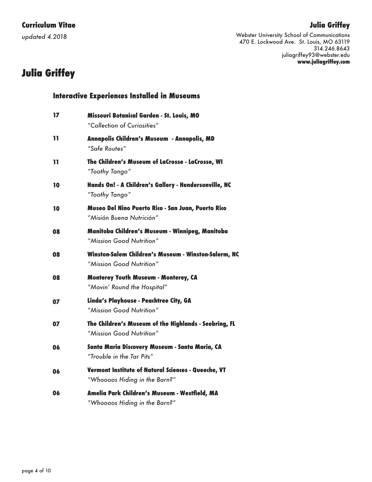*updated 4.2018*

# **Julia Griffey**

Webster University School of Communications 470 E. Lockwood Ave. St. Louis, MO 63119 314.246.8643 juliagriffey93@webster.edu **www.juliagriffey.com**

# **Julia Griffey**

| 17  | Missouri Botanical Garden - St. Louis, MO<br>"Collection of Curiosities"             |
|-----|--------------------------------------------------------------------------------------|
| 11  | Annapolis Children's Museum - Annapolis, MD<br>"Safe Routes"                         |
| 11. | The Children's Museum of LaCrosse - LaCrosse, WI<br>"Toothy Tango"                   |
| 10  | Hands On! - A Children's Gallery - Hendersonville, NC<br>"Toothy Tango"              |
| 10  | Museo Del Nino Puerto Rico - San Juan, Puerto Rico<br>"Misión Buena Nutrición"       |
| 08  | Manitoba Children's Museum - Winnipeg, Manitoba<br>"Mission Good Nutrition"          |
| 08  | Winston-Salem Children's Museum - Winston-Salerm, NC<br>"Mission Good Nutrition"     |
| 08  | <b>Monterey Youth Museum - Monterey, CA</b><br>"Movin' Round the Hospital"           |
| 07  | Linda's Playhouse - Peachtree City, GA<br>"Mission Good Nutrition"                   |
| 07  | The Children's Museum of the Highlands - Seebring, FL<br>"Mission Good Nutrition"    |
| 06  | Santa Maria Discovery Museum - Santa Maria, CA<br>"Trouble in the Tar Pits"          |
| 06  | Vermont Institute of Natural Sciences - Queeche, VT<br>"Whoooos Hiding in the Barn?" |
| 06  | Amelia Park Children's Museum - Westfield, MA<br>"Whoooos Hiding in the Barn?"       |

**Interactive Experiences Installed in Museums**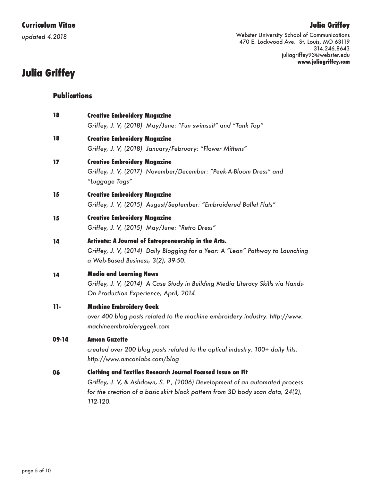### **Julia Griffey**

# **Curriculum Vitae**

*updated 4.2018*

Webster University School of Communications 470 E. Lockwood Ave. St. Louis, MO 63119 314.246.8643 juliagriffey93@webster.edu **www.juliagriffey.com**

# **Julia Griffey**

## **Publications**

| 18    | <b>Creative Embroidery Magazine</b><br>Griffey, J. V, (2018) May/June: "Fun swimsuit" and "Tank Top"                                                                                                                                            |
|-------|-------------------------------------------------------------------------------------------------------------------------------------------------------------------------------------------------------------------------------------------------|
| 18    | <b>Creative Embroidery Magazine</b><br>Griffey, J. V, (2018) January/February: "Flower Mittens"                                                                                                                                                 |
| 17    | <b>Creative Embroidery Magazine</b><br>Griffey, J. V, (2017) November/December: "Peek-A-Bloom Dress" and<br>"Luggage Tags"                                                                                                                      |
| 15    | <b>Creative Embroidery Magazine</b><br>Griffey, J. V, (2015) August/September: "Embroidered Ballet Flats"                                                                                                                                       |
| 15    | <b>Creative Embroidery Magazine</b><br>Griffey, J. V, (2015) May/June: "Retro Dress"                                                                                                                                                            |
| 14    | Artivate: A Journal of Entrepreneurship in the Arts.<br>Griffey, J. V, (2014) Daily Blogging for a Year: A "Lean" Pathway to Launching<br>a Web-Based Business, 3(2), 39-50.                                                                    |
| 14    | <b>Media and Learning News</b><br>Griffey, J. V, (2014) A Case Study in Building Media Literacy Skills via Hands-<br>On Production Experience, April, 2014.                                                                                     |
| $11-$ | <b>Machine Embroidery Geek</b><br>over 400 blog posts related to the machine embroidery industry. http://www.<br>machineembroiderygeek.com                                                                                                      |
| 09-14 | <b>Amcon Gazette</b><br>created over 200 blog posts related to the optical industry. 100+ daily hits.<br>http://www.amconlabs.com/blog                                                                                                          |
| 06    | <b>Clothing and Textiles Research Journal Focused Issue on Fit</b><br>Griffey, J. V, & Ashdown, S. P., (2006) Development of an automated process<br>for the creation of a basic skirt block pattern from 3D body scan data, 24(2),<br>112-120. |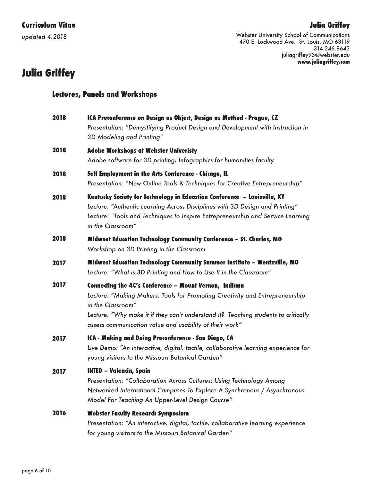*updated 4.2018*

### **Julia Griffey**

Webster University School of Communications 470 E. Lockwood Ave. St. Louis, MO 63119 314.246.8643 juliagriffey93@webster.edu **www.juliagriffey.com**

# **Julia Griffey**

| <b>Lectures, Panels and Workshops</b> |  |  |  |
|---------------------------------------|--|--|--|
|---------------------------------------|--|--|--|

| 2018 | ICA Preconference on Design as Object, Design as Method - Prague, CZ                                                                                                                                                                                                                                         |
|------|--------------------------------------------------------------------------------------------------------------------------------------------------------------------------------------------------------------------------------------------------------------------------------------------------------------|
|      | Presentation: "Demystifying Product Design and Development with Instruction in<br>3D Modeling and Printing"                                                                                                                                                                                                  |
| 2018 | <b>Adobe Workshops at Webster Univeristy</b><br>Adobe software for 3D printing, Infographics for humanities faculty                                                                                                                                                                                          |
| 2018 | Self Employment in the Arts Conference - Chicago, IL<br>Presentation: "New Online Tools & Techniques for Creative Entrepreneurship"                                                                                                                                                                          |
| 2018 | Kentucky Society for Technology in Education Conference – Louisville, KY<br>Lecture: "Authentic Learning Across Disciplines with 3D Design and Printing"<br>Lecture: "Tools and Techniques to Inspire Entrepreneurship and Service Learning<br>in the Classroom"                                             |
| 2018 | Midwest Education Technology Community Conference - St. Charles, MO<br>Workshop on 3D Printing in the Classroom                                                                                                                                                                                              |
| 2017 | Midwest Education Technology Community Summer Institute - Wentzville, MO<br>Lecture: "What is 3D Printing and How to Use It in the Classroom"                                                                                                                                                                |
| 2017 | Connecting the 4C's Conference - Mount Vernon, Indiana<br>Lecture: "Making Makers: Tools for Promoting Creativity and Entrepreneurship<br>in the Classroom"<br>Lecture: "Why make it if they can't understand it? Teaching students to critically<br>assess communication value and usability of their work" |
| 2017 | ICA - Making and Doing Preconference - San Diego, CA<br>Live Demo: "An interactive, digital, tactile, collaborative learning experience for<br>young visitors to the Missouri Botanical Garden"                                                                                                              |
| 2017 | <b>INTED - Valencia, Spain</b><br>Presentation: "Collaboration Across Cultures: Using Technology Among<br>Networked International Campuses To Explore A Synchronous / Asynchronous<br>Model For Teaching An Upper-Level Design Course"                                                                       |
| 2016 | <b>Webster Faculty Research Symposium</b><br>Presentation: "An interactive, digital, tactile, collaborative learning experience<br>for young visitors to the Missouri Botanical Garden"                                                                                                                      |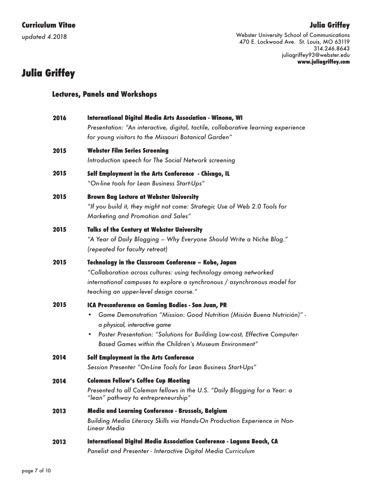*updated 4.2018*

# **Julia Griffey**

Webster University School of Communications 470 E. Lockwood Ave. St. Louis, MO 63119 314.246.8643 juliagriffey93@webster.edu **www.juliagriffey.com**

# **Julia Griffey**

#### **Lectures, Panels and Workshops**

| 2016 | International Digital Media Arts Association - Winona, WI<br>Presentation: "An interactive, digital, tactile, collaborative learning experience<br>for young visitors to the Missouri Botanical Garden"                                                                                                  |
|------|----------------------------------------------------------------------------------------------------------------------------------------------------------------------------------------------------------------------------------------------------------------------------------------------------------|
| 2015 | <b>Webster Film Series Screening</b><br>Introduction speech for The Social Network screening                                                                                                                                                                                                             |
| 2015 | Self Employment in the Arts Conference - Chicago, IL<br>"On-line tools for Lean Business Start-Ups"                                                                                                                                                                                                      |
| 2015 | <b>Brown Bag Lecture at Webster University</b><br>"If you build it, they might not come: Strategic Use of Web 2.0 Tools for<br>Marketing and Promotion and Sales"                                                                                                                                        |
| 2015 | <b>Talks of the Century at Webster University</b><br>"A Year of Daily Blogging – Why Everyone Should Write a Niche Blog."<br>(repeated for faculty retreat)                                                                                                                                              |
| 2015 | <b>Technology in the Classroom Conference - Kobe, Japan</b><br>"Collaboration across cultures: using technology among networked<br>international campuses to explore a synchronous / asynchronous model for<br>teaching an upper-level design course."                                                   |
| 2015 | ICA Preconference on Gaming Bodies - San Juan, PR<br>Game Demonstration "Mission: Good Nutrition (Misión Buena Nutrición)" -<br>a physical, interactive game<br>Poster Presentation: "Solutions for Building Low-cost, Effective Computer-<br>٠<br>Based Games within the Children's Museum Environment" |
| 2014 | <b>Self Employment in the Arts Conference</b><br>Session Presenter "On-Line Tools for Lean Business Start-Ups"                                                                                                                                                                                           |
| 2014 | <b>Coleman Fellow's Coffee Cup Meeting</b><br>Presented to all Coleman fellows in the U.S. "Daily Blogging for a Year: a<br>"lean" pathway to entrepreneurship"                                                                                                                                          |
| 2013 | Media and Learning Conference - Brussels, Belgium<br>Building Media Literacy Skills via Hands-On Production Experience in Non-<br>Linear Media                                                                                                                                                           |
| 2013 | International Digital Media Association Conference - Laguna Beach, CA                                                                                                                                                                                                                                    |

*Panelist and Presenter - Interactive Digital Media Curriculum*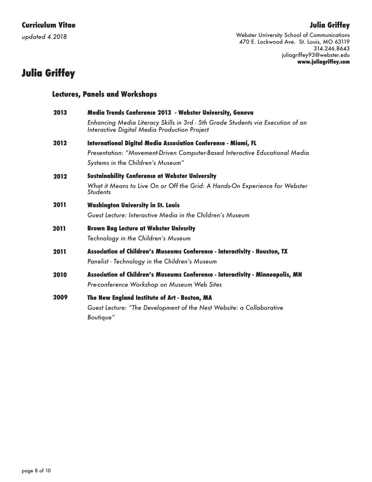*updated 4.2018*

# **Julia Griffey**

Webster University School of Communications 470 E. Lockwood Ave. St. Louis, MO 63119 314.246.8643 juliagriffey93@webster.edu **www.juliagriffey.com**

# **Julia Griffey**

| <b>Lectures, Panels and Workshops</b> |                                                                                                                                                                                              |  |
|---------------------------------------|----------------------------------------------------------------------------------------------------------------------------------------------------------------------------------------------|--|
| 2013                                  | Media Trends Conference 2013 - Webster University, Geneva<br>Enhancing Media Literacy Skills in 3rd - 5th Grade Students via Execution of an<br>Interactive Digital Media Production Project |  |
| 2012                                  | International Digital Media Association Conference - Miami, FL<br>Presentation: "Movement-Driven Computer-Based Interactive Educational Media<br>Systems in the Children's Museum"           |  |
| 2012                                  | <b>Sustainability Conference at Webster University</b><br>What it Means to Live On or Off the Grid: A Hands-On Experience for Webster<br><b>Students</b>                                     |  |
| 2011                                  | <b>Washington University in St. Louis</b><br>Guest Lecture: Interactive Media in the Children's Museum                                                                                       |  |
| 2011                                  | <b>Brown Bag Lecture at Webster Univsrity</b><br>Technology in the Children's Museum                                                                                                         |  |
| 2011                                  | Association of Children's Museums Conference - Interactivity - Houston, TX<br>Panelist - Technology in the Children's Museum                                                                 |  |
| 2010                                  | Association of Children's Museums Conference - Interactivity - Minneapolis, MN<br>Pre-conference Workshop on Museum Web Sites                                                                |  |
| 2009                                  | The New England Institute of Art - Boston, MA<br>Guest Lecture: "The Development of the Nest Website: a Collaborative<br>Boutique"                                                           |  |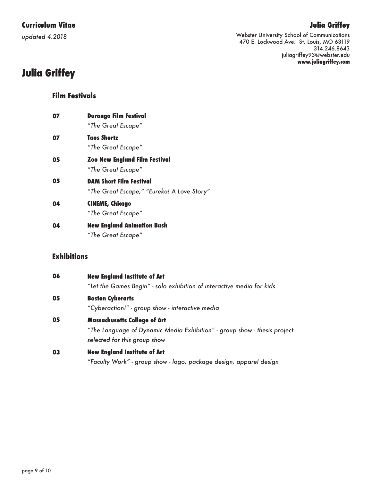*updated 4.2018*

# **Julia Griffey**

Webster University School of Communications 470 E. Lockwood Ave. St. Louis, MO 63119 314.246.8643 juliagriffey93@webster.edu **www.juliagriffey.com**

# **Julia Griffey**

#### **Film Festivals**

| 07 | <b>Durango Film Festival</b>               |
|----|--------------------------------------------|
|    | "The Great Escape"                         |
| 07 | Taos Shortz                                |
|    | "The Great Escape"                         |
| 05 | <b>Zoo New England Film Festival</b>       |
|    | "The Great Escape"                         |
| 05 | <b>DAM Short Film Festival</b>             |
|    | "The Great Escape," "Eureka! A Love Story" |
| 04 | CINEME, Chicago                            |
|    | "The Great Escape"                         |
| 04 | <b>New England Animation Bash</b>          |
|    | "The Great Escape"                         |

### **Exhibitions**

| 06 | <b>New England Institute of Art</b>                                      |
|----|--------------------------------------------------------------------------|
|    | "Let the Games Begin" - solo exhibition of interactive media for kids    |
| 05 | <b>Boston Cyberarts</b>                                                  |
|    | "Cyberaction!" - group show - interactive media                          |
| 05 | <b>Massachusetts College of Art</b>                                      |
|    | "The Language of Dynamic Media Exhibition" - group show - thesis project |
|    | selected for this group show                                             |
| 03 | <b>New England Institute of Art</b>                                      |
|    | "Faculty Work" - group show - logo, package design, apparel design       |